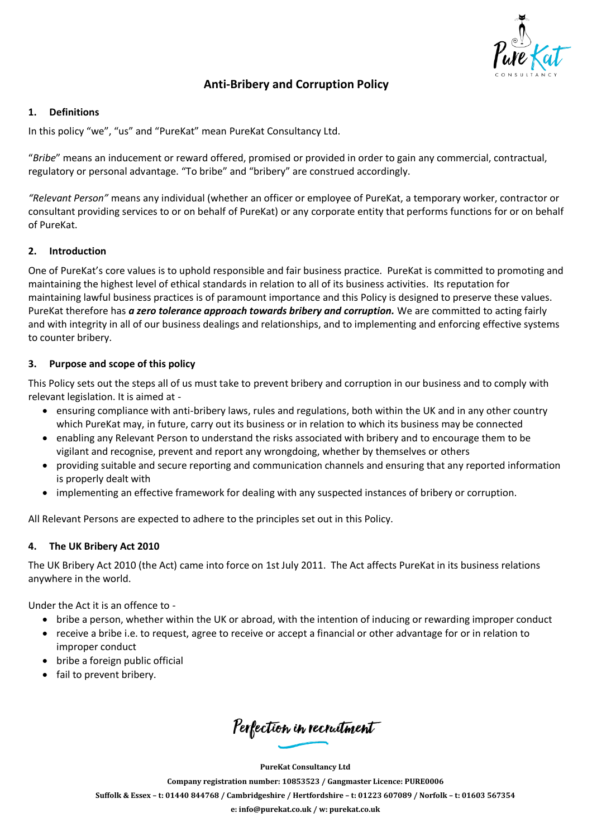

# **Anti-Bribery and Corruption Policy**

## **1. Definitions**

In this policy "we", "us" and "PureKat" mean PureKat Consultancy Ltd.

"*Bribe*" means an inducement or reward offered, promised or provided in order to gain any commercial, contractual, regulatory or personal advantage. "To bribe" and "bribery" are construed accordingly.

*"Relevant Person"* means any individual (whether an officer or employee of PureKat, a temporary worker, contractor or consultant providing services to or on behalf of PureKat) or any corporate entity that performs functions for or on behalf of PureKat.

## **2. Introduction**

One of PureKat's core values is to uphold responsible and fair business practice. PureKat is committed to promoting and maintaining the highest level of ethical standards in relation to all of its business activities. Its reputation for maintaining lawful business practices is of paramount importance and this Policy is designed to preserve these values. PureKat therefore has *a zero tolerance approach towards bribery and corruption*. We are committed to acting fairly and with integrity in all of our business dealings and relationships, and to implementing and enforcing effective systems to counter bribery.

## **3. Purpose and scope of this policy**

This Policy sets out the steps all of us must take to prevent bribery and corruption in our business and to comply with relevant legislation. It is aimed at -

- ensuring compliance with anti-bribery laws, rules and regulations, both within the UK and in any other country which PureKat may, in future, carry out its business or in relation to which its business may be connected
- enabling any Relevant Person to understand the risks associated with bribery and to encourage them to be vigilant and recognise, prevent and report any wrongdoing, whether by themselves or others
- providing suitable and secure reporting and communication channels and ensuring that any reported information is properly dealt with
- implementing an effective framework for dealing with any suspected instances of bribery or corruption.

All Relevant Persons are expected to adhere to the principles set out in this Policy.

# **4. The UK Bribery Act 2010**

The UK Bribery Act 2010 (the Act) came into force on 1st July 2011. The Act affects PureKat in its business relations anywhere in the world.

Under the Act it is an offence to -

- bribe a person, whether within the UK or abroad, with the intention of inducing or rewarding improper conduct
- receive a bribe i.e. to request, agree to receive or accept a financial or other advantage for or in relation to improper conduct
- bribe a foreign public official
- fail to prevent bribery.

Perfection in recruitment

**PureKat Consultancy Ltd**

**Company registration number: 10853523 / Gangmaster Licence: PURE0006**

Suffolk & Essex - t: 01440 844768 / Cambridgeshire / Hertfordshire - t: 01223 607089 / Norfolk - t: 01603 567354

**e: [info@purekat.co.uk](mailto:info@purekat.co.uk) / w: purekat.co.uk**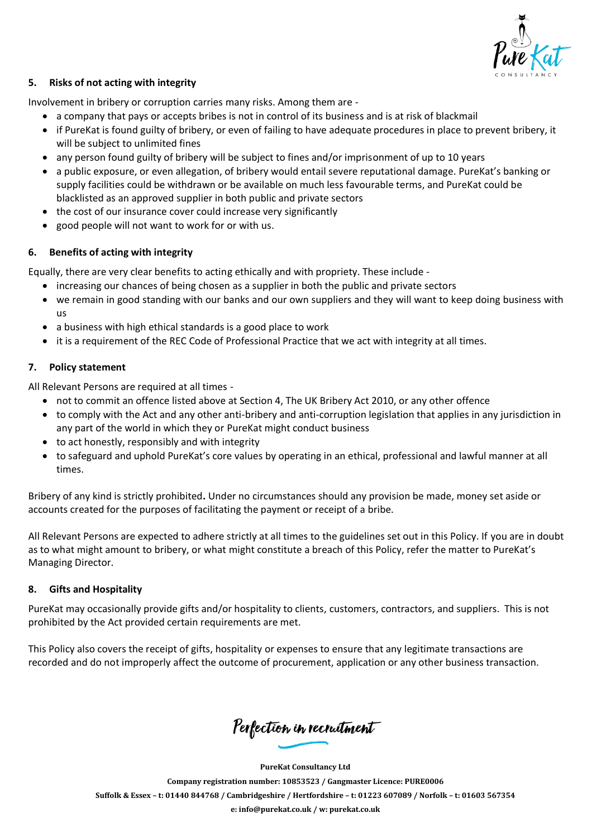

## **5. Risks of not acting with integrity**

Involvement in bribery or corruption carries many risks. Among them are -

- a company that pays or accepts bribes is not in control of its business and is at risk of blackmail
- if PureKat is found guilty of bribery, or even of failing to have adequate procedures in place to prevent bribery, it will be subject to unlimited fines
- any person found guilty of bribery will be subject to fines and/or imprisonment of up to 10 years
- a public exposure, or even allegation, of bribery would entail severe reputational damage. PureKat's banking or supply facilities could be withdrawn or be available on much less favourable terms, and PureKat could be blacklisted as an approved supplier in both public and private sectors
- the cost of our insurance cover could increase very significantly
- good people will not want to work for or with us.

## **6. Benefits of acting with integrity**

Equally, there are very clear benefits to acting ethically and with propriety. These include -

- increasing our chances of being chosen as a supplier in both the public and private sectors
- we remain in good standing with our banks and our own suppliers and they will want to keep doing business with us
- a business with high ethical standards is a good place to work
- it is a requirement of the REC Code of Professional Practice that we act with integrity at all times.

## **7. Policy statement**

All Relevant Persons are required at all times -

- not to commit an offence listed above at Section 4, The UK Bribery Act 2010, or any other offence
- to comply with the Act and any other anti-bribery and anti-corruption legislation that applies in any jurisdiction in any part of the world in which they or PureKat might conduct business
- to act honestly, responsibly and with integrity
- to safeguard and uphold PureKat's core values by operating in an ethical, professional and lawful manner at all times.

Bribery of any kind is strictly prohibited**.** Under no circumstances should any provision be made, money set aside or accounts created for the purposes of facilitating the payment or receipt of a bribe.

All Relevant Persons are expected to adhere strictly at all times to the guidelines set out in this Policy. If you are in doubt as to what might amount to bribery, or what might constitute a breach of this Policy, refer the matter to PureKat's Managing Director.

## **8. Gifts and Hospitality**

PureKat may occasionally provide gifts and/or hospitality to clients, customers, contractors, and suppliers. This is not prohibited by the Act provided certain requirements are met.

This Policy also covers the receipt of gifts, hospitality or expenses to ensure that any legitimate transactions are recorded and do not improperly affect the outcome of procurement, application or any other business transaction.

Perfection in recruitment

**PureKat Consultancy Ltd Company registration number: 10853523 / Gangmaster Licence: PURE0006** Suffolk & Essex - t: 01440 844768 / Cambridgeshire / Hertfordshire - t: 01223 607089 / Norfolk - t: 01603 567354 **e: [info@purekat.co.uk](mailto:info@purekat.co.uk) / w: purekat.co.uk**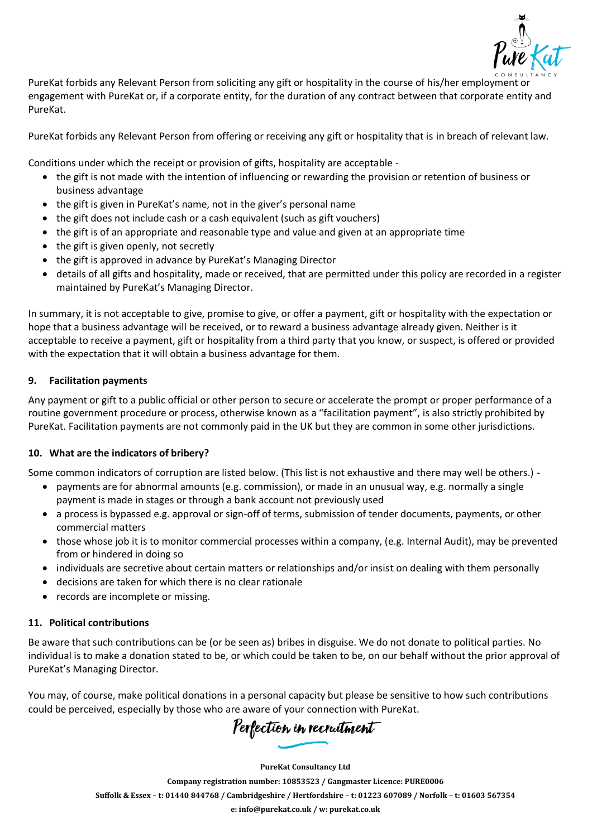

PureKat forbids any Relevant Person from soliciting any gift or hospitality in the course of his/her employment or engagement with PureKat or, if a corporate entity, for the duration of any contract between that corporate entity and PureKat.

PureKat forbids any Relevant Person from offering or receiving any gift or hospitality that is in breach of relevant law.

Conditions under which the receipt or provision of gifts, hospitality are acceptable -

- the gift is not made with the intention of influencing or rewarding the provision or retention of business or business advantage
- the gift is given in PureKat's name, not in the giver's personal name
- the gift does not include cash or a cash equivalent (such as gift vouchers)
- the gift is of an appropriate and reasonable type and value and given at an appropriate time
- the gift is given openly, not secretly
- the gift is approved in advance by PureKat's Managing Director
- details of all gifts and hospitality, made or received, that are permitted under this policy are recorded in a register maintained by PureKat's Managing Director.

In summary, it is not acceptable to give, promise to give, or offer a payment, gift or hospitality with the expectation or hope that a business advantage will be received, or to reward a business advantage already given. Neither is it acceptable to receive a payment, gift or hospitality from a third party that you know, or suspect, is offered or provided with the expectation that it will obtain a business advantage for them.

## **9. Facilitation payments**

Any payment or gift to a public official or other person to secure or accelerate the prompt or proper performance of a routine government procedure or process, otherwise known as a "facilitation payment", is also strictly prohibited by PureKat. Facilitation payments are not commonly paid in the UK but they are common in some other jurisdictions.

## **10. What are the indicators of bribery?**

Some common indicators of corruption are listed below. (This list is not exhaustive and there may well be others.) -

- payments are for abnormal amounts (e.g. commission), or made in an unusual way, e.g. normally a single payment is made in stages or through a bank account not previously used
- a process is bypassed e.g. approval or sign-off of terms, submission of tender documents, payments, or other commercial matters
- those whose job it is to monitor commercial processes within a company, (e.g. Internal Audit), may be prevented from or hindered in doing so
- individuals are secretive about certain matters or relationships and/or insist on dealing with them personally
- decisions are taken for which there is no clear rationale
- records are incomplete or missing.

## **11. Political contributions**

Be aware that such contributions can be (or be seen as) bribes in disguise. We do not donate to political parties. No individual is to make a donation stated to be, or which could be taken to be, on our behalf without the prior approval of PureKat's Managing Director.

You may, of course, make political donations in a personal capacity but please be sensitive to how such contributions could be perceived, especially by those who are aware of your connection with PureKat.

Perfection in recruitment

**PureKat Consultancy Ltd**

**Company registration number: 10853523 / Gangmaster Licence: PURE0006** Suffolk & Essex - t: 01440 844768 / Cambridgeshire / Hertfordshire - t: 01223 607089 / Norfolk - t: 01603 567354 **e: [info@purekat.co.uk](mailto:info@purekat.co.uk) / w: purekat.co.uk**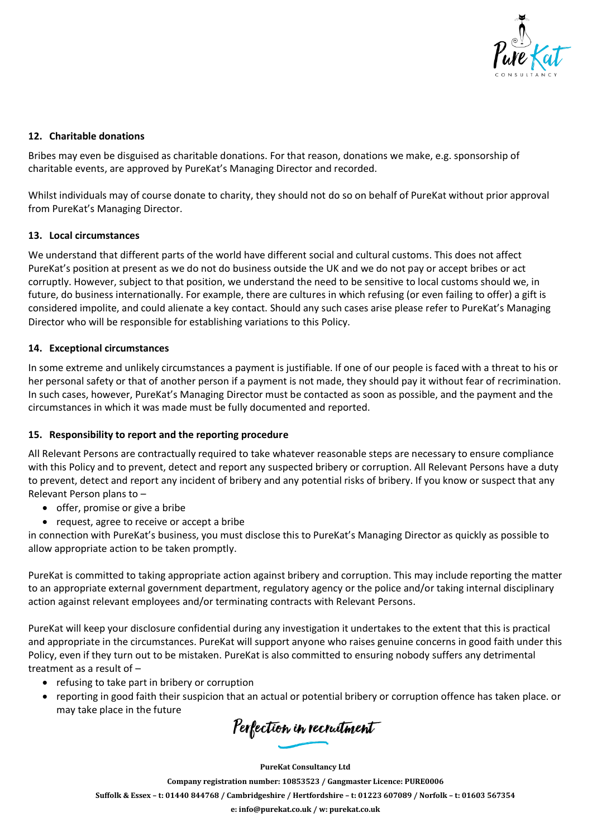

## **12. Charitable donations**

Bribes may even be disguised as charitable donations. For that reason, donations we make, e.g. sponsorship of charitable events, are approved by PureKat's Managing Director and recorded.

Whilst individuals may of course donate to charity, they should not do so on behalf of PureKat without prior approval from PureKat's Managing Director.

## **13. Local circumstances**

We understand that different parts of the world have different social and cultural customs. This does not affect PureKat's position at present as we do not do business outside the UK and we do not pay or accept bribes or act corruptly. However, subject to that position, we understand the need to be sensitive to local customs should we, in future, do business internationally. For example, there are cultures in which refusing (or even failing to offer) a gift is considered impolite, and could alienate a key contact. Should any such cases arise please refer to PureKat's Managing Director who will be responsible for establishing variations to this Policy.

## **14. Exceptional circumstances**

In some extreme and unlikely circumstances a payment is justifiable. If one of our people is faced with a threat to his or her personal safety or that of another person if a payment is not made, they should pay it without fear of recrimination. In such cases, however, PureKat's Managing Director must be contacted as soon as possible, and the payment and the circumstances in which it was made must be fully documented and reported.

## **15. Responsibility to report and the reporting procedure**

All Relevant Persons are contractually required to take whatever reasonable steps are necessary to ensure compliance with this Policy and to prevent, detect and report any suspected bribery or corruption. All Relevant Persons have a duty to prevent, detect and report any incident of bribery and any potential risks of bribery. If you know or suspect that any Relevant Person plans to –

- offer, promise or give a bribe
- request, agree to receive or accept a bribe

in connection with PureKat's business, you must disclose this to PureKat's Managing Director as quickly as possible to allow appropriate action to be taken promptly.

PureKat is committed to taking appropriate action against bribery and corruption. This may include reporting the matter to an appropriate external government department, regulatory agency or the police and/or taking internal disciplinary action against relevant employees and/or terminating contracts with Relevant Persons.

PureKat will keep your disclosure confidential during any investigation it undertakes to the extent that this is practical and appropriate in the circumstances. PureKat will support anyone who raises genuine concerns in good faith under this Policy, even if they turn out to be mistaken. PureKat is also committed to ensuring nobody suffers any detrimental treatment as a result of –

- refusing to take part in bribery or corruption
- reporting in good faith their suspicion that an actual or potential bribery or corruption offence has taken place. or may take place in the future

Perfection in recruitment

**PureKat Consultancy Ltd Company registration number: 10853523 / Gangmaster Licence: PURE0006** Suffolk & Essex - t: 01440 844768 / Cambridgeshire / Hertfordshire - t: 01223 607089 / Norfolk - t: 01603 567354 **e: [info@purekat.co.uk](mailto:info@purekat.co.uk) / w: purekat.co.uk**